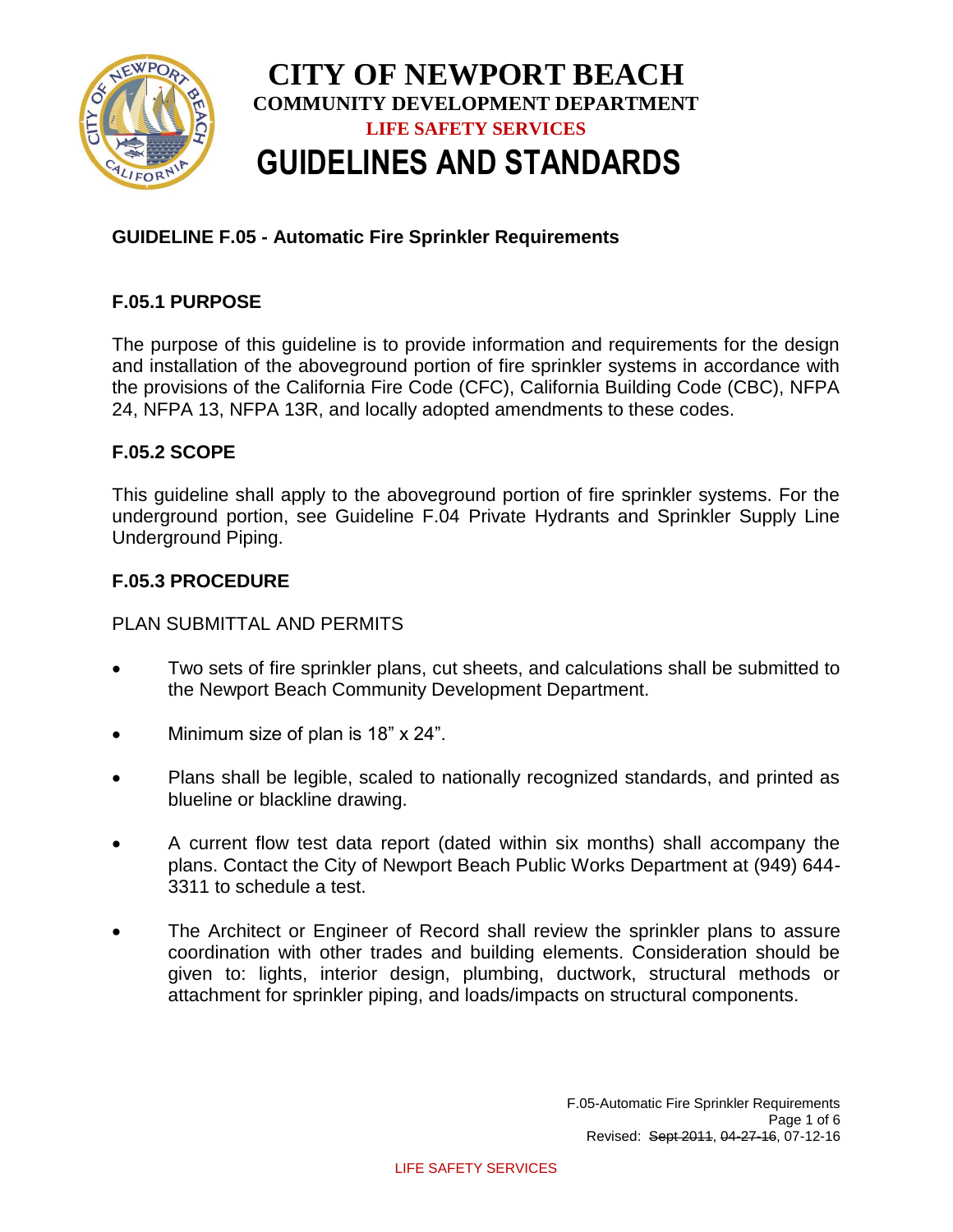

# **GUIDELINE F.05 - Automatic Fire Sprinkler Requirements**

## **F.05.1 PURPOSE**

The purpose of this guideline is to provide information and requirements for the design and installation of the aboveground portion of fire sprinkler systems in accordance with the provisions of the California Fire Code (CFC), California Building Code (CBC), NFPA 24, NFPA 13, NFPA 13R, and locally adopted amendments to these codes.

### **F.05.2 SCOPE**

This guideline shall apply to the aboveground portion of fire sprinkler systems. For the underground portion, see Guideline F.04 Private Hydrants and Sprinkler Supply Line Underground Piping.

### **F.05.3 PROCEDURE**

PLAN SUBMITTAL AND PERMITS

- Two sets of fire sprinkler plans, cut sheets, and calculations shall be submitted to the Newport Beach Community Development Department.
- Minimum size of plan is 18" x 24".
- Plans shall be legible, scaled to nationally recognized standards, and printed as blueline or blackline drawing.
- A current flow test data report (dated within six months) shall accompany the plans. Contact the City of Newport Beach Public Works Department at (949) 644- 3311 to schedule a test.
- The Architect or Engineer of Record shall review the sprinkler plans to assure coordination with other trades and building elements. Consideration should be given to: lights, interior design, plumbing, ductwork, structural methods or attachment for sprinkler piping, and loads/impacts on structural components.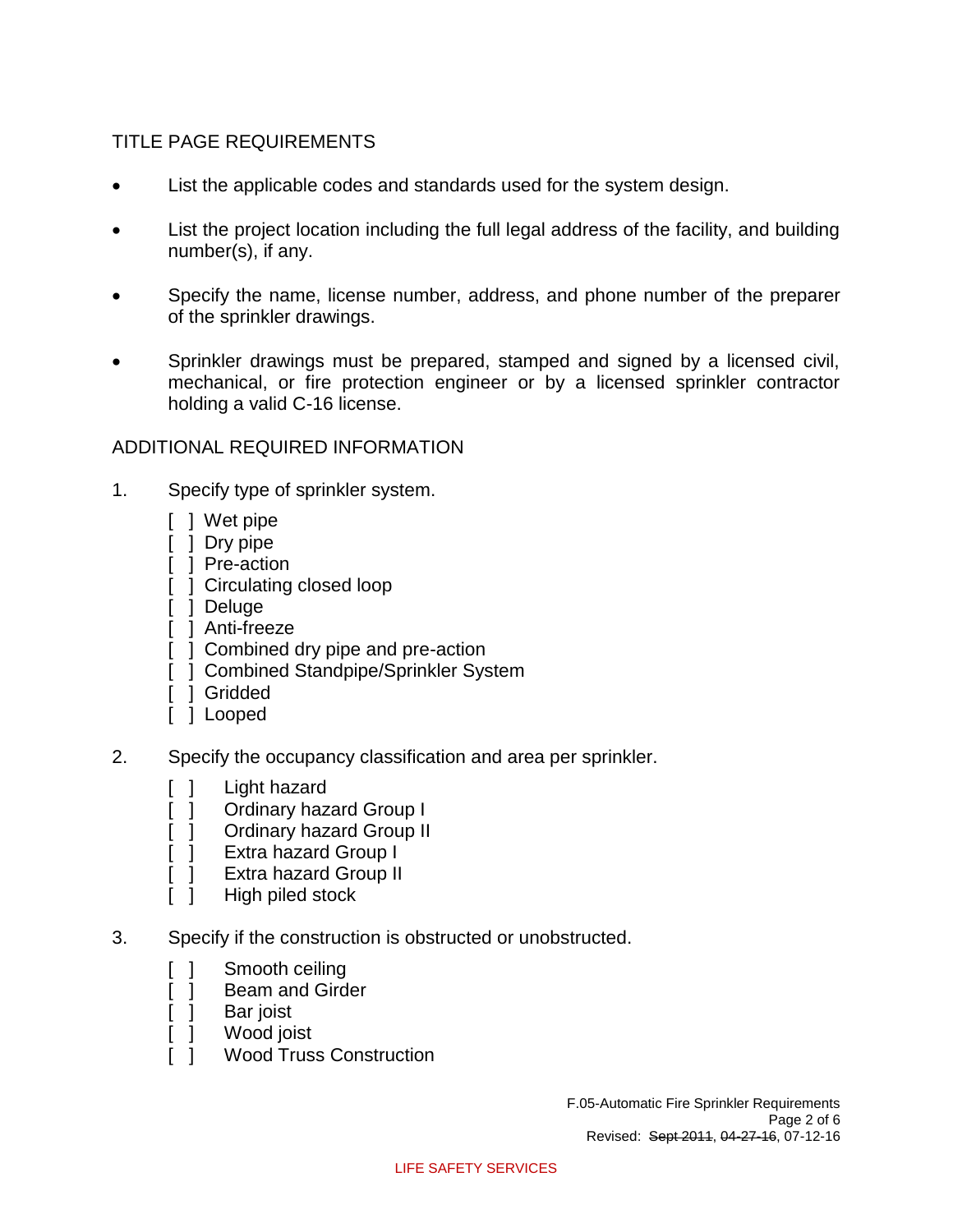# TITLE PAGE REQUIREMENTS

- List the applicable codes and standards used for the system design.
- List the project location including the full legal address of the facility, and building number(s), if any.
- Specify the name, license number, address, and phone number of the preparer of the sprinkler drawings.
- Sprinkler drawings must be prepared, stamped and signed by a licensed civil, mechanical, or fire protection engineer or by a licensed sprinkler contractor holding a valid C-16 license.

## ADDITIONAL REQUIRED INFORMATION

- 1. Specify type of sprinkler system.
	- [ ] Wet pipe
	- [ ] Dry pipe
	- [ ] Pre-action
	- [ ] Circulating closed loop
	- [ ] Deluge
	- [ ] Anti-freeze
	- [ ] Combined dry pipe and pre-action
	- [ ] Combined Standpipe/Sprinkler System
	- [ ] Gridded
	- [ ] Looped
- 2. Specify the occupancy classification and area per sprinkler.
	- [ ] Light hazard
	- [ ] Ordinary hazard Group I
	- [ ] Ordinary hazard Group II
	- [ ] Extra hazard Group I
	- [ ] Extra hazard Group II
	- [ ] High piled stock
- 3. Specify if the construction is obstructed or unobstructed.
	- [ ] Smooth ceiling
	- [ ] Beam and Girder
	- [ ] Bar joist
	- [ ] Wood joist
	- [ ] Wood Truss Construction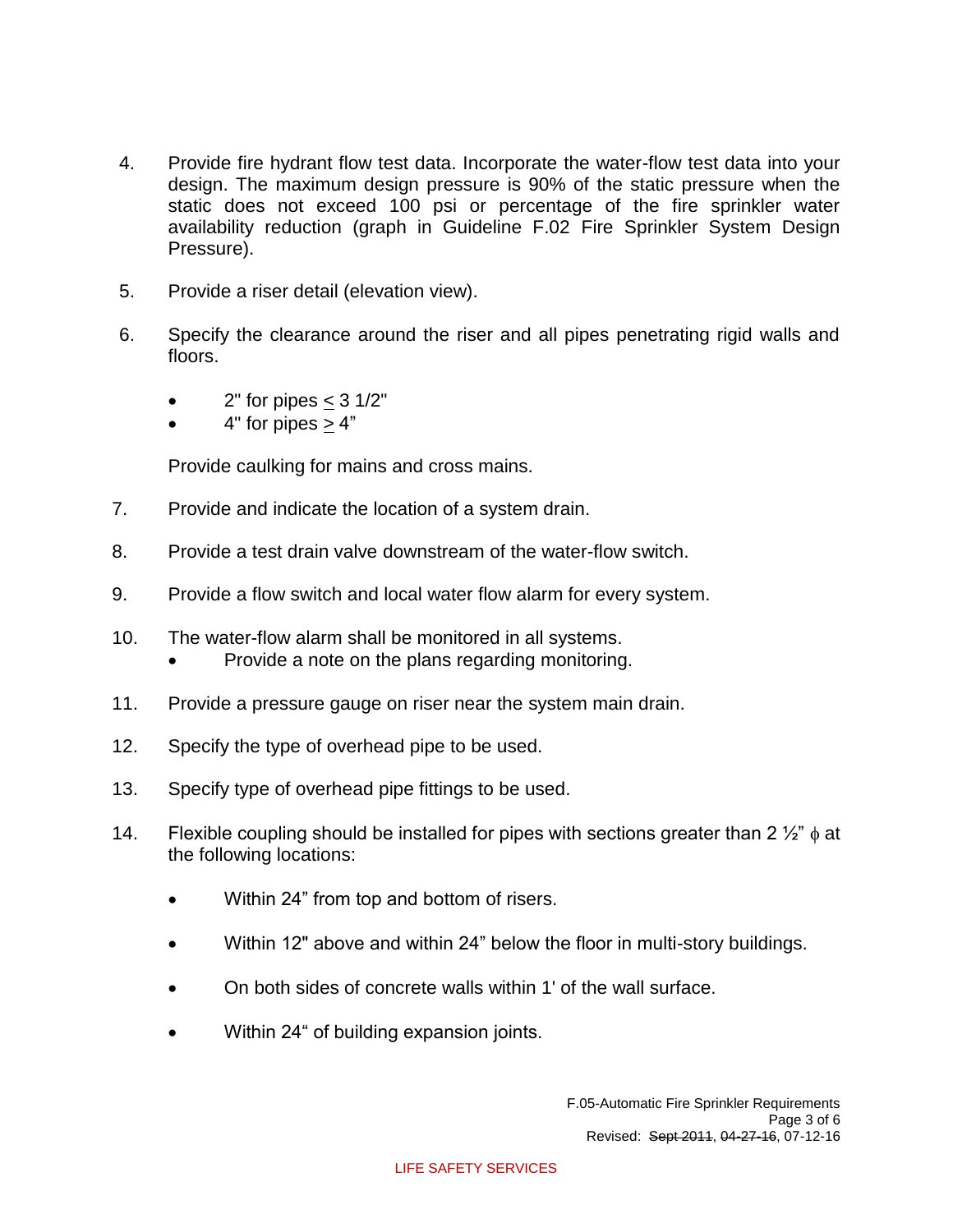- 4. Provide fire hydrant flow test data. Incorporate the water-flow test data into your design. The maximum design pressure is 90% of the static pressure when the static does not exceed 100 psi or percentage of the fire sprinkler water availability reduction (graph in Guideline F.02 Fire Sprinkler System Design Pressure).
- 5. Provide a riser detail (elevation view).
- 6. Specify the clearance around the riser and all pipes penetrating rigid walls and floors.
	- 2" for pipes  $<$  3 1/2"
	- $\bullet$  4" for pipes  $> 4$ "

Provide caulking for mains and cross mains.

- 7. Provide and indicate the location of a system drain.
- 8. Provide a test drain valve downstream of the water-flow switch.
- 9. Provide a flow switch and local water flow alarm for every system.
- 10. The water-flow alarm shall be monitored in all systems. • Provide a note on the plans regarding monitoring.
- 11. Provide a pressure gauge on riser near the system main drain.
- 12. Specify the type of overhead pipe to be used.
- 13. Specify type of overhead pipe fittings to be used.
- 14. Flexible coupling should be installed for pipes with sections greater than 2  $\frac{1}{2}$   $\phi$  at the following locations:
	- Within 24" from top and bottom of risers.
	- Within 12" above and within 24" below the floor in multi-story buildings.
	- On both sides of concrete walls within 1' of the wall surface.
	- Within 24" of building expansion joints.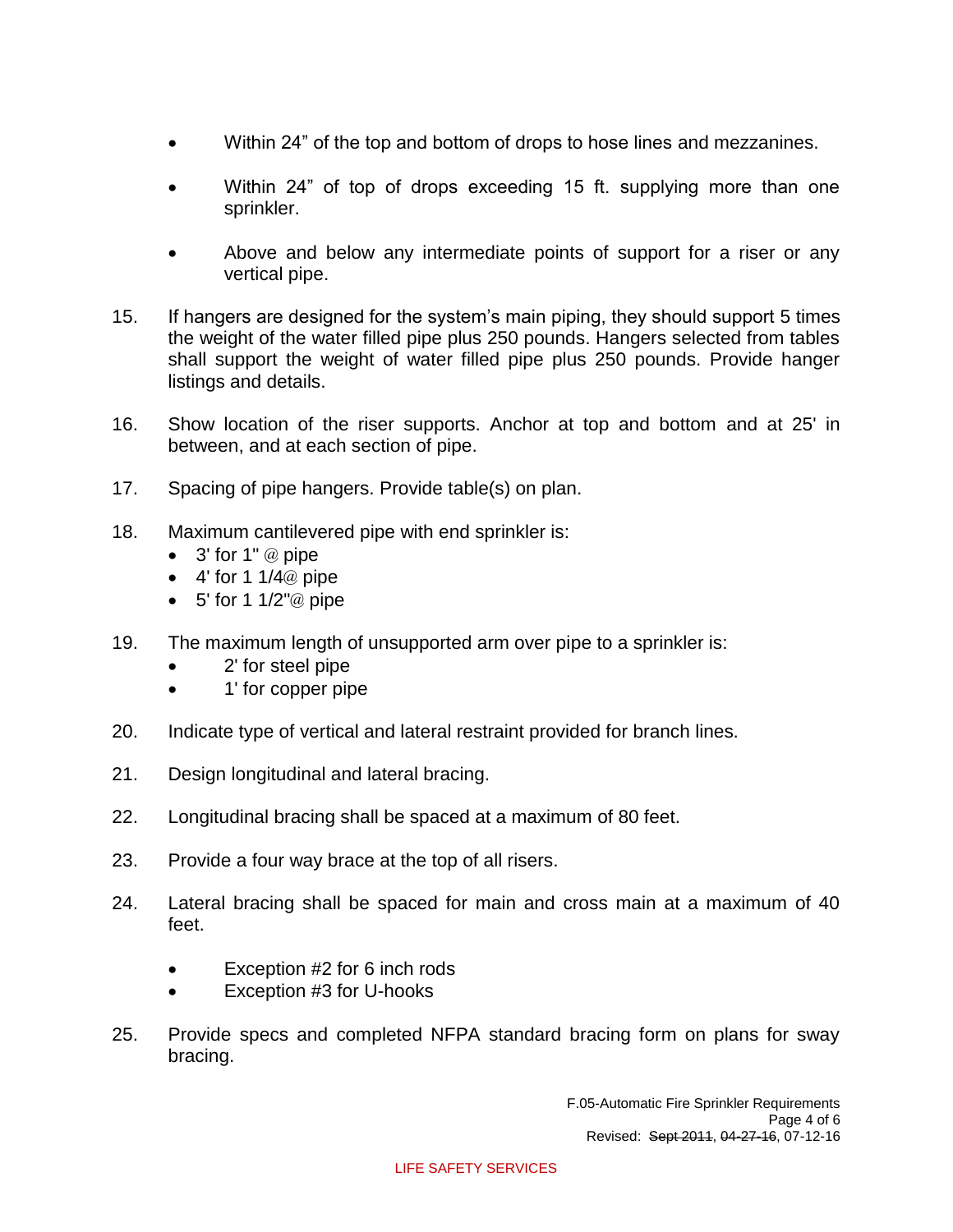- Within 24" of the top and bottom of drops to hose lines and mezzanines.
- Within 24" of top of drops exceeding 15 ft. supplying more than one sprinkler.
- Above and below any intermediate points of support for a riser or any vertical pipe.
- 15. If hangers are designed for the system's main piping, they should support 5 times the weight of the water filled pipe plus 250 pounds. Hangers selected from tables shall support the weight of water filled pipe plus 250 pounds. Provide hanger listings and details.
- 16. Show location of the riser supports. Anchor at top and bottom and at 25' in between, and at each section of pipe.
- 17. Spacing of pipe hangers. Provide table(s) on plan.
- 18. Maximum cantilevered pipe with end sprinkler is:
	- $\bullet$  3' for 1"  $@$  pipe
	- $\bullet$  4' for 1 1/4@ pipe
	- $\bullet$  5' for 1 1/2"@ pipe
- 19. The maximum length of unsupported arm over pipe to a sprinkler is:
	- 2' for steel pipe
	- 1' for copper pipe
- 20. Indicate type of vertical and lateral restraint provided for branch lines.
- 21. Design longitudinal and lateral bracing.
- 22. Longitudinal bracing shall be spaced at a maximum of 80 feet.
- 23. Provide a four way brace at the top of all risers.
- 24. Lateral bracing shall be spaced for main and cross main at a maximum of 40 feet.
	- Exception #2 for 6 inch rods
	- Exception #3 for U-hooks
- 25. Provide specs and completed NFPA standard bracing form on plans for sway bracing.

F.05-Automatic Fire Sprinkler Requirements Page 4 of 6 Revised: Sept 2011, 04-27-16, 07-12-16

#### LIFE SAFETY SERVICES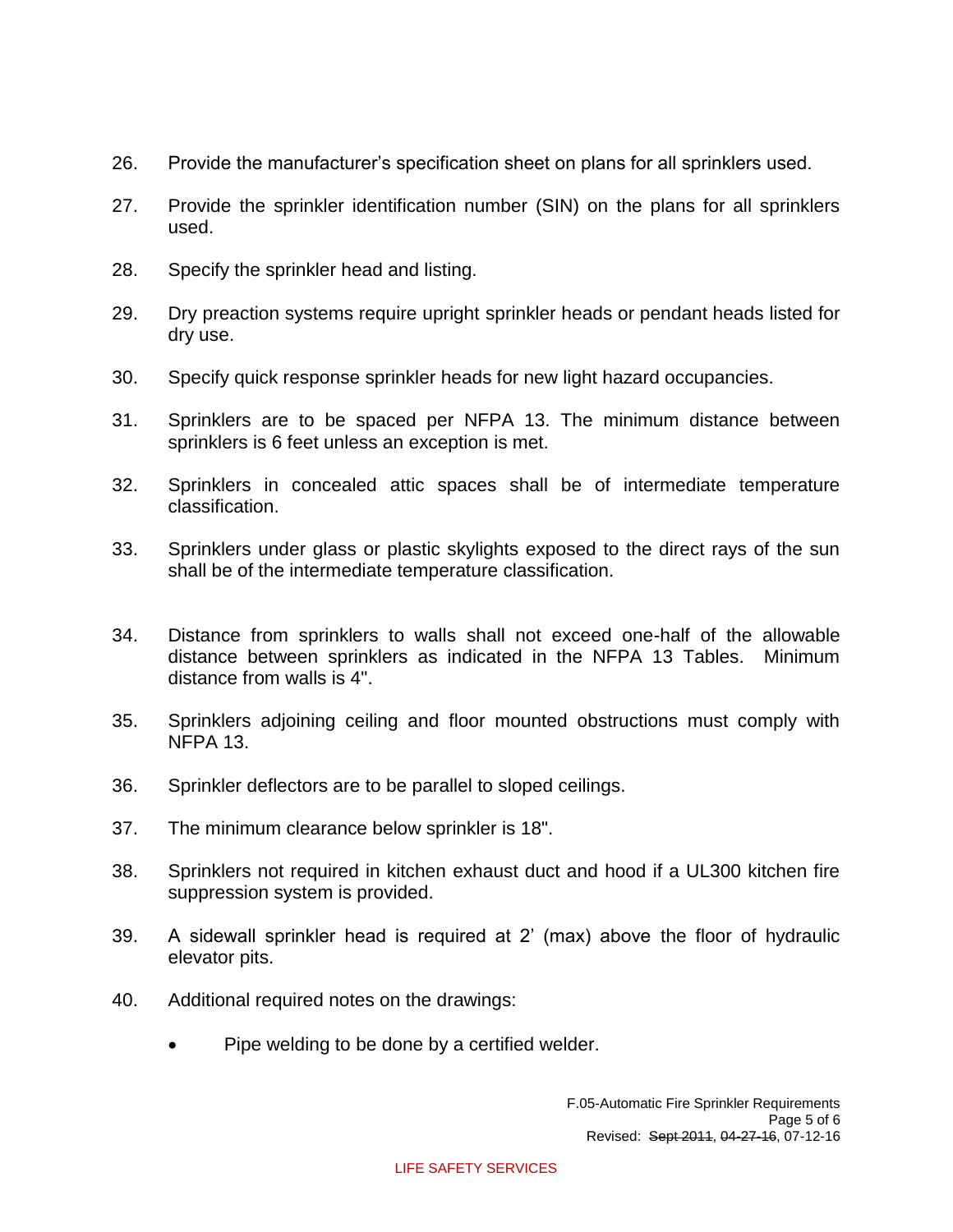- 26. Provide the manufacturer's specification sheet on plans for all sprinklers used.
- 27. Provide the sprinkler identification number (SIN) on the plans for all sprinklers used.
- 28. Specify the sprinkler head and listing.
- 29. Dry preaction systems require upright sprinkler heads or pendant heads listed for dry use.
- 30. Specify quick response sprinkler heads for new light hazard occupancies.
- 31. Sprinklers are to be spaced per NFPA 13. The minimum distance between sprinklers is 6 feet unless an exception is met.
- 32. Sprinklers in concealed attic spaces shall be of intermediate temperature classification.
- 33. Sprinklers under glass or plastic skylights exposed to the direct rays of the sun shall be of the intermediate temperature classification.
- 34. Distance from sprinklers to walls shall not exceed one-half of the allowable distance between sprinklers as indicated in the NFPA 13 Tables. Minimum distance from walls is 4".
- 35. Sprinklers adjoining ceiling and floor mounted obstructions must comply with NFPA 13.
- 36. Sprinkler deflectors are to be parallel to sloped ceilings.
- 37. The minimum clearance below sprinkler is 18".
- 38. Sprinklers not required in kitchen exhaust duct and hood if a UL300 kitchen fire suppression system is provided.
- 39. A sidewall sprinkler head is required at 2' (max) above the floor of hydraulic elevator pits.
- 40. Additional required notes on the drawings:
	- Pipe welding to be done by a certified welder.